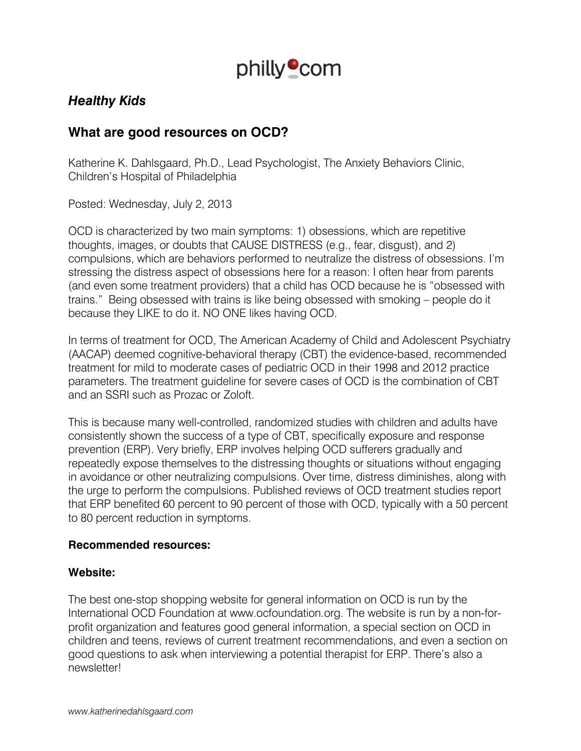

# *Healthy Kids*

## **What are good resources on OCD?**

Katherine K. Dahlsgaard, Ph.D., Lead Psychologist, The Anxiety Behaviors Clinic, Children's Hospital of Philadelphia

Posted: Wednesday, July 2, 2013

OCD is characterized by two main symptoms: 1) obsessions, which are repetitive thoughts, images, or doubts that CAUSE DISTRESS (e.g., fear, disgust), and 2) compulsions, which are behaviors performed to neutralize the distress of obsessions. I'm stressing the distress aspect of obsessions here for a reason: I often hear from parents (and even some treatment providers) that a child has OCD because he is "obsessed with trains." Being obsessed with trains is like being obsessed with smoking – people do it because they LIKE to do it. NO ONE likes having OCD.

In terms of treatment for OCD, The American Academy of Child and Adolescent Psychiatry (AACAP) deemed cognitive-behavioral therapy (CBT) the evidence-based, recommended treatment for mild to moderate cases of pediatric OCD in their 1998 and 2012 practice parameters. The treatment guideline for severe cases of OCD is the combination of CBT and an SSRI such as Prozac or Zoloft.

This is because many well-controlled, randomized studies with children and adults have consistently shown the success of a type of CBT, specifically exposure and response prevention (ERP). Very briefly, ERP involves helping OCD sufferers gradually and repeatedly expose themselves to the distressing thoughts or situations without engaging in avoidance or other neutralizing compulsions. Over time, distress diminishes, along with the urge to perform the compulsions. Published reviews of OCD treatment studies report that ERP benefited 60 percent to 90 percent of those with OCD, typically with a 50 percent to 80 percent reduction in symptoms.

#### **Recommended resources:**

#### **Website:**

The best one-stop shopping website for general information on OCD is run by the International OCD Foundation at www.ocfoundation.org. The website is run by a non-forprofit organization and features good general information, a special section on OCD in children and teens, reviews of current treatment recommendations, and even a section on good questions to ask when interviewing a potential therapist for ERP. There's also a newsletter!